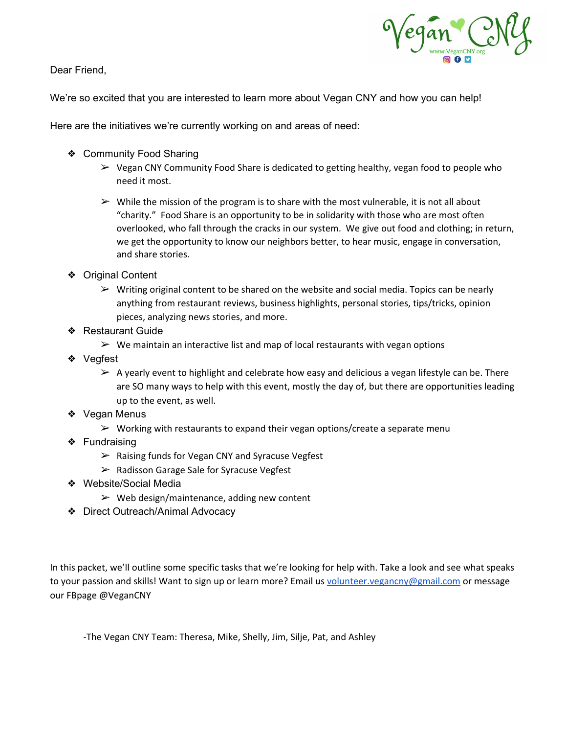Dear Friend,



We're so excited that you are interested to learn more about Vegan CNY and how you can help!

Here are the initiatives we're currently working on and areas of need:

- ❖ Community Food Sharing
	- ➢ Vegan CNY Community Food Share is dedicated to getting healthy, vegan food to people who need it most.
	- $\triangleright$  While the mission of the program is to share with the most vulnerable, it is not all about "charity." Food Share is an opportunity to be in solidarity with those who are most often overlooked, who fall through the cracks in our system. We give out food and clothing; in return, we get the opportunity to know our neighbors better, to hear music, engage in conversation, and share stories.
- ❖ Original Content
	- $\triangleright$  Writing original content to be shared on the website and social media. Topics can be nearly anything from restaurant reviews, business highlights, personal stories, tips/tricks, opinion pieces, analyzing news stories, and more.
- ❖ Restaurant Guide
	- $\triangleright$  We maintain an interactive list and map of local restaurants with vegan options
- ❖ Vegfest
	- $\triangleright$  A yearly event to highlight and celebrate how easy and delicious a vegan lifestyle can be. There are SO many ways to help with this event, mostly the day of, but there are opportunities leading up to the event, as well.
- ❖ Vegan Menus
	- $\triangleright$  Working with restaurants to expand their vegan options/create a separate menu
- ❖ Fundraising
	- ➢ Raising funds for Vegan CNY and Syracuse Vegfest
	- ➢ Radisson Garage Sale for Syracuse Vegfest
- ❖ Website/Social Media
	- $\triangleright$  Web design/maintenance, adding new content
- ❖ Direct Outreach/Animal Advocacy

In this packet, we'll outline some specific tasks that we're looking for help with. Take a look and see what speaks to your passion and skills! Want to sign up or learn more? Email us [volunteer.vegancny@gmail.com](mailto:volunteer.vegancny@gmail.com) or message our FBpage @VeganCNY

-The Vegan CNY Team: Theresa, Mike, Shelly, Jim, Silje, Pat, and Ashley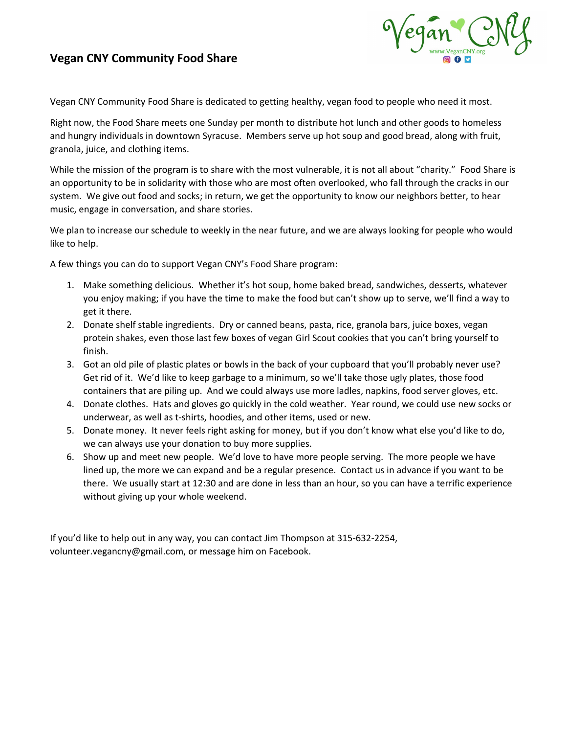#### **Vegan CNY Community Food Share**



Vegan CNY Community Food Share is dedicated to getting healthy, vegan food to people who need it most.

Right now, the Food Share meets one Sunday per month to distribute hot lunch and other goods to homeless and hungry individuals in downtown Syracuse. Members serve up hot soup and good bread, along with fruit, granola, juice, and clothing items.

While the mission of the program is to share with the most vulnerable, it is not all about "charity." Food Share is an opportunity to be in solidarity with those who are most often overlooked, who fall through the cracks in our system. We give out food and socks; in return, we get the opportunity to know our neighbors better, to hear music, engage in conversation, and share stories.

We plan to increase our schedule to weekly in the near future, and we are always looking for people who would like to help.

A few things you can do to support Vegan CNY's Food Share program:

- 1. Make something delicious. Whether it's hot soup, home baked bread, sandwiches, desserts, whatever you enjoy making; if you have the time to make the food but can't show up to serve, we'll find a way to get it there.
- 2. Donate shelf stable ingredients. Dry or canned beans, pasta, rice, granola bars, juice boxes, vegan protein shakes, even those last few boxes of vegan Girl Scout cookies that you can't bring yourself to finish.
- 3. Got an old pile of plastic plates or bowls in the back of your cupboard that you'll probably never use? Get rid of it. We'd like to keep garbage to a minimum, so we'll take those ugly plates, those food containers that are piling up. And we could always use more ladles, napkins, food server gloves, etc.
- 4. Donate clothes. Hats and gloves go quickly in the cold weather. Year round, we could use new socks or underwear, as well as t-shirts, hoodies, and other items, used or new.
- 5. Donate money. It never feels right asking for money, but if you don't know what else you'd like to do, we can always use your donation to buy more supplies.
- 6. Show up and meet new people. We'd love to have more people serving. The more people we have lined up, the more we can expand and be a regular presence. Contact us in advance if you want to be there. We usually start at 12:30 and are done in less than an hour, so you can have a terrific experience without giving up your whole weekend.

If you'd like to help out in any way, you can contact Jim Thompson at 315-632-2254, volunteer.vegancny@gmail.com, or message him on Facebook.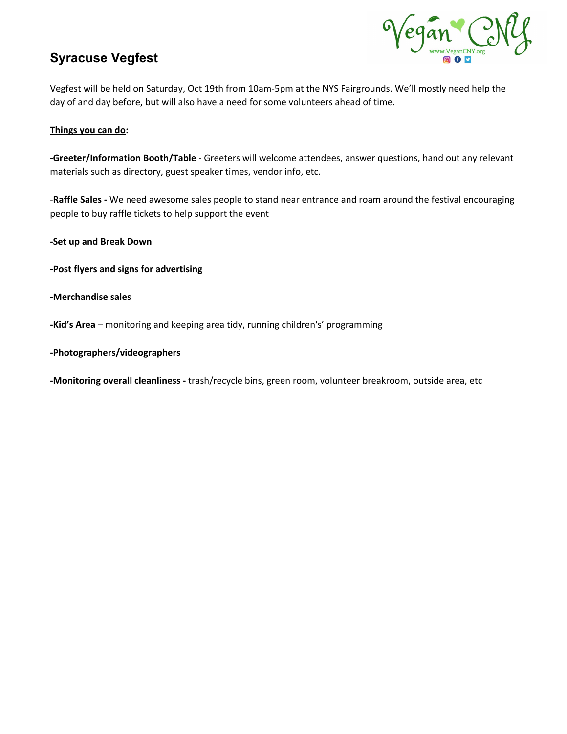# **Syracuse Vegfest**



Vegfest will be held on Saturday, Oct 19th from 10am-5pm at the NYS Fairgrounds. We'll mostly need help the day of and day before, but will also have a need for some volunteers ahead of time.

#### **Things you can do:**

**-Greeter/Information Booth/Table** - Greeters will welcome attendees, answer questions, hand out any relevant materials such as directory, guest speaker times, vendor info, etc.

-**Raffle Sales -** We need awesome sales people to stand near entrance and roam around the festival encouraging people to buy raffle tickets to help support the event

**-Set up and Break Down**

- **-Post flyers and signs for advertising**
- **-Merchandise sales**
- **-Kid's Area** monitoring and keeping area tidy, running children's' programming
- **-Photographers/videographers**

**-Monitoring overall cleanliness -** trash/recycle bins, green room, volunteer breakroom, outside area, etc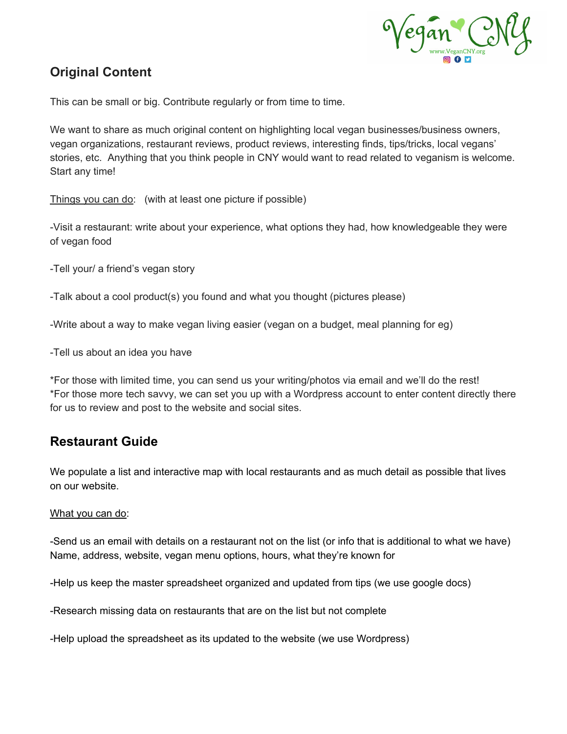

### **Original Content**

This can be small or big. Contribute regularly or from time to time.

We want to share as much original content on highlighting local vegan businesses/business owners, vegan organizations, restaurant reviews, product reviews, interesting finds, tips/tricks, local vegans' stories, etc. Anything that you think people in CNY would want to read related to veganism is welcome. Start any time!

Things you can do: (with at least one picture if possible)

-Visit a restaurant: write about your experience, what options they had, how knowledgeable they were of vegan food

-Tell your/ a friend's vegan story

-Talk about a cool product(s) you found and what you thought (pictures please)

-Write about a way to make vegan living easier (vegan on a budget, meal planning for eg)

-Tell us about an idea you have

\*For those with limited time, you can send us your writing/photos via email and we'll do the rest! \*For those more tech savvy, we can set you up with a Wordpress account to enter content directly there for us to review and post to the website and social sites.

### **Restaurant Guide**

We populate a list and interactive map with local restaurants and as much detail as possible that lives on our website.

#### What you can do:

-Send us an email with details on a restaurant not on the list (or info that is additional to what we have) Name, address, website, vegan menu options, hours, what they're known for

-Help us keep the master spreadsheet organized and updated from tips (we use google docs)

-Research missing data on restaurants that are on the list but not complete

-Help upload the spreadsheet as its updated to the website (we use Wordpress)